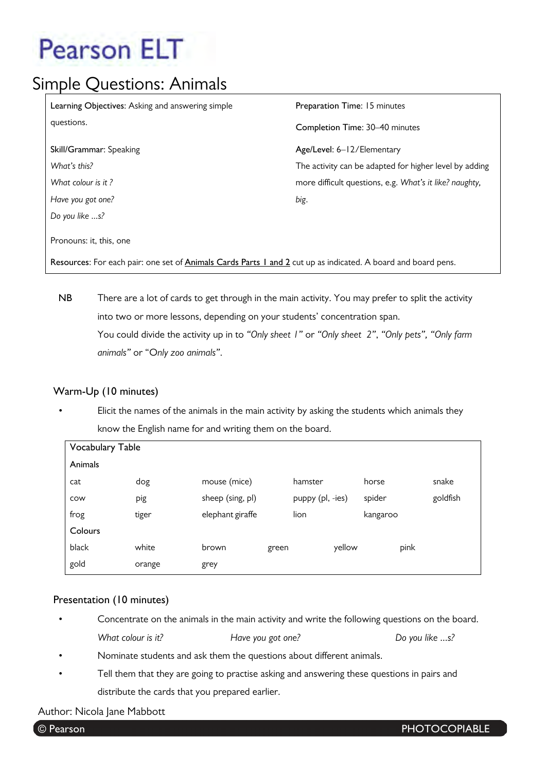## Simple Questions: Animals

| Learning Objectives: Asking and answering simple                                                              | Preparation Time: 15 minutes                            |  |  |  |  |
|---------------------------------------------------------------------------------------------------------------|---------------------------------------------------------|--|--|--|--|
| questions.                                                                                                    | Completion Time: 30–40 minutes                          |  |  |  |  |
| Skill/Grammar: Speaking                                                                                       | Age/Level: 6-12/Elementary                              |  |  |  |  |
| What's this?                                                                                                  | The activity can be adapted for higher level by adding  |  |  |  |  |
| What colour is it?                                                                                            | more difficult questions, e.g. What's it like? naughty, |  |  |  |  |
| Have you got one?                                                                                             | big.                                                    |  |  |  |  |
| Do you like s?                                                                                                |                                                         |  |  |  |  |
| Pronouns: it, this, one                                                                                       |                                                         |  |  |  |  |
| Resources: For each pair: one set of Animals Cards Parts 1 and 2 cut up as indicated. A board and board pens. |                                                         |  |  |  |  |

**NB** There are a lot of cards to get through in the main activity. You may prefer to split the activity into two or more lessons, depending on your students' concentration span. You could divide the activity up in to *"Only sheet 1"* or *"Only sheet 2"*, *"Only pets", "Only farm animals"* or "O*nly zoo animals"*.

### **Warm-Up (10 minutes)**

• Elicit the names of the animals in the main activity by asking the students which animals they know the English name for and writing them on the board.

| <b>Vocabulary Table</b> |        |                  |       |                  |        |          |      |          |
|-------------------------|--------|------------------|-------|------------------|--------|----------|------|----------|
| Animals                 |        |                  |       |                  |        |          |      |          |
| cat                     | dog    | mouse (mice)     |       | hamster          |        | horse    |      | snake    |
| COW                     | pig    | sheep (sing, pl) |       | puppy (pl, -ies) |        | spider   |      | goldfish |
| frog                    | tiger  | elephant giraffe |       | lion             |        | kangaroo |      |          |
| Colours                 |        |                  |       |                  |        |          |      |          |
| black                   | white  | brown            | green |                  | yellow |          | pink |          |
| gold                    | orange | grey             |       |                  |        |          |      |          |

### **Presentation (10 minutes)**

- Concentrate on the animals in the main activity and write the following questions on the board. *What colour is it? Have you got one? Do you like ...s?*
- Nominate students and ask them the questions about different animals.
- Tell them that they are going to practise asking and answering these questions in pairs and distribute the cards that you prepared earlier.

### Author: Nicola Jane Mabbott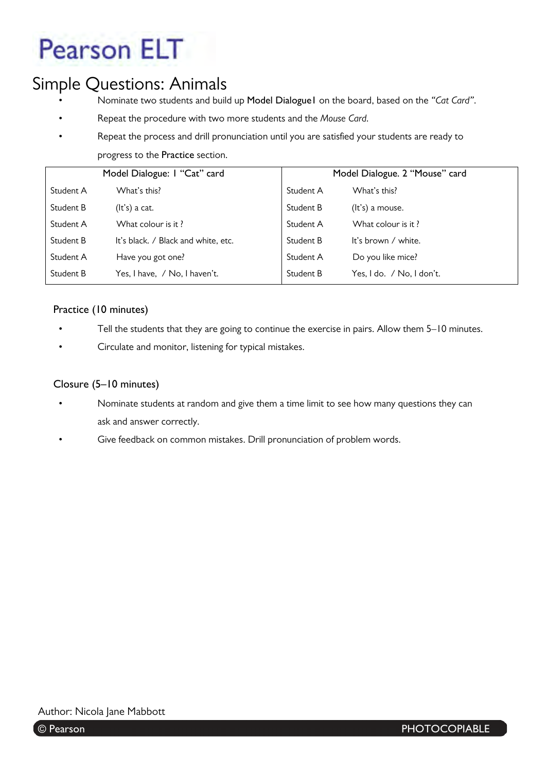## Simple Questions: Animals

- Nominate two students and build up **Model Dialogue1** on the board, based on the *"Cat Card"*.
- Repeat the procedure with two more students and the *Mouse Card.*
- Repeat the process and drill pronunciation until you are satisfied your students are ready to progress to the **Practice** section.

|           | Model Dialogue: I "Cat" card        | Model Dialogue. 2 "Mouse" card |                           |  |
|-----------|-------------------------------------|--------------------------------|---------------------------|--|
| Student A | What's this?                        | Student A                      | What's this?              |  |
| Student B | $(lt's)$ a cat.                     | Student B                      | (It's) a mouse.           |  |
| Student A | What colour is it?                  | Student A                      | What colour is it?        |  |
| Student B | It's black. / Black and white, etc. | Student B                      | It's brown / white.       |  |
| Student A | Have you got one?                   | Student A                      | Do you like mice?         |  |
| Student B | Yes, I have, / No, I haven't.       | Student B                      | Yes, I do. / No, I don't. |  |

## **Practice (10 minutes)**

- Tell the students that they are going to continue the exercise in pairs. Allow them 5–10 minutes.
- Circulate and monitor, listening for typical mistakes.

#### **Closure (5–10 minutes)**

- Nominate students at random and give them a time limit to see how many questions they can ask and answer correctly.
- Give feedback on common mistakes. Drill pronunciation of problem words.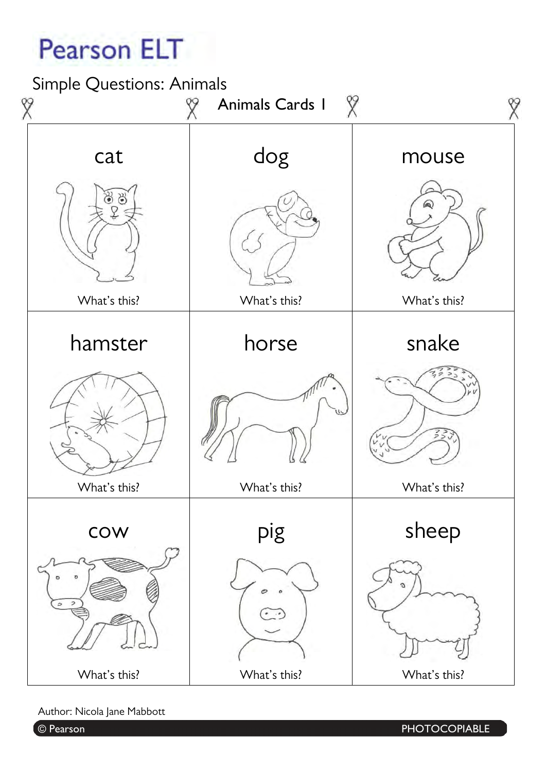Simple Questions: Animals



Author: Nicola Jane Mabbott

© Pearson